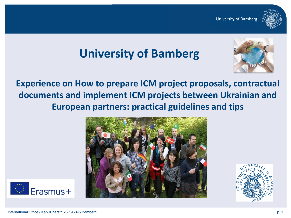

# **University of Bamberg**



**Experience on How to prepare ICM project proposals, contractual documents and implement ICM projects between Ukrainian and European partners: practical guidelines and tips**





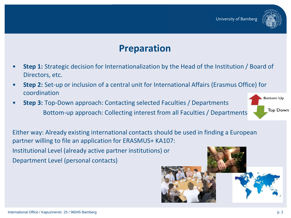

## **Preparation**

- **Step 1:** Strategic decision for Internationalization by the Head of the Institution / Board of Directors, etc.
- **Step 2:** Set-up or inclusion of a central unit for International Affairs (Erasmus Office) for coordination
- **Step 3:** Top-Down approach: Contacting selected Faculties / Departments Bottom-up approach: Collecting interest from all Faculties / Departments

**Bottom Up Top Down** 

Either way: Already existing international contacts should be used in finding a European partner willing to file an application for ERASMUS+ KA107: Institutional Level (already active partner institutions) or Department Level (personal contacts)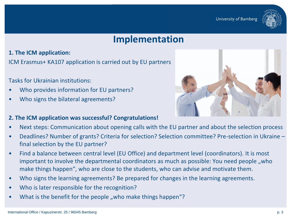

### **Implementation**

**1. The ICM application:**

ICM Erasmus+ KA107 application is carried out by EU partners

Tasks for Ukrainian institutions:

- Who provides information for EU partners?
- Who signs the bilateral agreements?



#### **2. The ICM application was successful? Congratulations!**

- Next steps: Communication about opening calls with the EU partner and about the selection process
- Deadlines? Number of grants? Criteria for selection? Selection committee? Pre-selection in Ukraine final selection by the EU partner?
- Find a balance between central level (EU Office) and department level (coordinators). It is most important to involve the departmental coordinators as much as possible: You need people, who make things happen", who are close to the students, who can advise and motivate them.
- Who signs the learning agreements? Be prepared for changes in the learning agreements.
- Who is later responsible for the recognition?
- What is the benefit for the people "who make things happen"?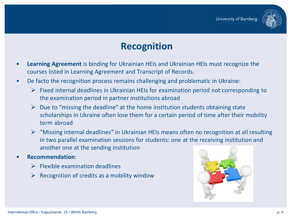

## **Recognition**

- **Learning Agreement** is binding for Ukrainian HEIs and Ukrainian HEIs must recognize the courses listed in Learning Agreement and Transcript of Records.
- De facto the recognition process remains challenging and problematic in Ukraine:
	- $\triangleright$  Fixed internal deadlines in Ukrainian HEIs for examination period not corresponding to the examination period in partner institutions abroad
	- $\triangleright$  Due to "missing the deadline" at the home institution students obtaining state scholarships in Ukraine often lose them for a certain period of time after their mobility term abroad
	- $\triangleright$  "Missing internal deadlines" in Ukrainian HEIs means often no recognition at all resulting in two parallel examination sessions for students: one at the receiving institution and another one at the sending institution
- **Recommendation**:
	- $\triangleright$  Flexible examination deadlines
	- $\triangleright$  Recognition of credits as a mobility window

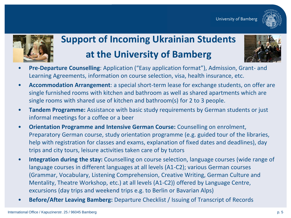



## **Support of Incoming Ukrainian Students at the University of Bamberg**



- **Pre-Departure Counselling**: Application ("Easy application format"), Admission, Grant- and Learning Agreements, information on course selection, visa, health insurance, etc.
- **Accommodation Arrangement**: a special short-term lease for exchange students, on offer are single furnished rooms with kitchen and bathroom as well as shared apartments which are single rooms with shared use of kitchen and bathroom(s) for 2 to 3 people.
- **Tandem Programme:** Assistance with basic study requirements by German students or just informal meetings for a coffee or a beer
- **Orientation Programme and Intensive German Course:** Counselling on enrolment, Preparatory German course, study orientation programme (e.g. guided tour of the libraries, help with registration for classes and exams, explanation of fixed dates and deadlines), day trips and city tours, leisure activities taken care of by tutors
- **Integration during the stay:** Counselling on course selection, language courses (wide range of language courses in different languages at all levels (A1-C2); various German courses (Grammar, Vocabulary, Listening Comprehension, Creative Writing, German Culture and Mentality, Theatre Workshop, etc.) at all levels (A1-C2)) offered by Language Centre, excursions (day trips and weekend trips e.g. to Berlin or Bavarian Alps)
- **Before/After Leaving Bamberg:** Departure Checklist / Issuing of Transcript of Records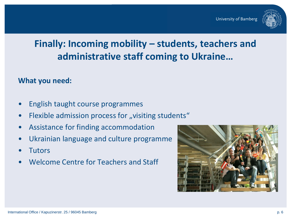

## **Finally: Incoming mobility – students, teachers and administrative staff coming to Ukraine…**

#### **What you need:**

- English taught course programmes
- Flexible admission process for "visiting students"
- Assistance for finding accommodation
- Ukrainian language and culture programme
- **Tutors**
- Welcome Centre for Teachers and Staff